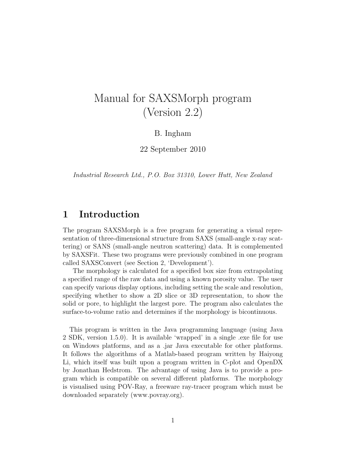# Manual for SAXSMorph program (Version 2.2)

### B. Ingham

22 September 2010

Industrial Research Ltd., P.O. Box 31310, Lower Hutt, New Zealand

# 1 Introduction

The program SAXSMorph is a free program for generating a visual representation of three-dimensional structure from SAXS (small-angle x-ray scattering) or SANS (small-angle neutron scattering) data. It is complemented by SAXSFit. These two programs were previously combined in one program called SAXSConvert (see Section 2, 'Development').

The morphology is calculated for a specified box size from extrapolating a specified range of the raw data and using a known porosity value. The user can specify various display options, including setting the scale and resolution, specifying whether to show a 2D slice or 3D representation, to show the solid or pore, to highlight the largest pore. The program also calculates the surface-to-volume ratio and determines if the morphology is bicontinuous.

This program is written in the Java programming language (using Java 2 SDK, version 1.5.0). It is available 'wrapped' in a single .exe file for use on Windows platforms, and as a .jar Java executable for other platforms. It follows the algorithms of a Matlab-based program written by Haiyong Li, which itself was built upon a program written in C-plot and OpenDX by Jonathan Hedstrom. The advantage of using Java is to provide a program which is compatible on several different platforms. The morphology is visualised using POV-Ray, a freeware ray-tracer program which must be downloaded separately (www.povray.org).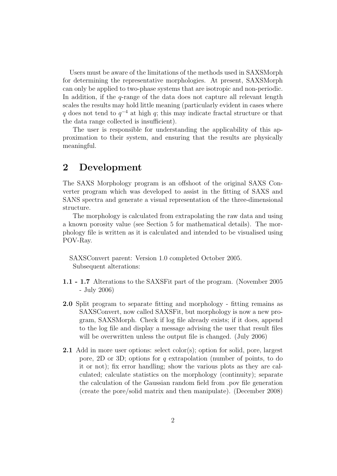Users must be aware of the limitations of the methods used in SAXSMorph for determining the representative morphologies. At present, SAXSMorph can only be applied to two-phase systems that are isotropic and non-periodic. In addition, if the *q*-range of the data does not capture all relevant length scales the results may hold little meaning (particularly evident in cases where q does not tend to  $q^{-4}$  at high q; this may indicate fractal structure or that the data range collected is insufficient).

The user is responsible for understanding the applicability of this approximation to their system, and ensuring that the results are physically meaningful.

## 2 Development

The SAXS Morphology program is an offshoot of the original SAXS Converter program which was developed to assist in the fitting of SAXS and SANS spectra and generate a visual representation of the three-dimensional structure.

The morphology is calculated from extrapolating the raw data and using a known porosity value (see Section 5 for mathematical details). The morphology file is written as it is calculated and intended to be visualised using POV-Ray.

SAXSConvert parent: Version 1.0 completed October 2005. Subsequent alterations:

- 1.1 1.7 Alterations to the SAXSFit part of the program. (November 2005 - July 2006)
- 2.0 Split program to separate fitting and morphology fitting remains as SAXSConvert, now called SAXSFit, but morphology is now a new program, SAXSMorph. Check if log file already exists; if it does, append to the log file and display a message advising the user that result files will be overwritten unless the output file is changed. (July 2006)
- 2.1 Add in more user options: select color(s); option for solid, pore, largest pore, 2D or 3D; options for q extrapolation (number of points, to do it or not); fix error handling; show the various plots as they are calculated; calculate statistics on the morphology (continuity); separate the calculation of the Gaussian random field from .pov file generation (create the pore/solid matrix and then manipulate). (December 2008)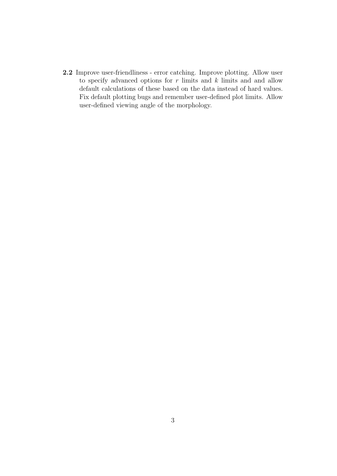2.2 Improve user-friendliness - error catching. Improve plotting. Allow user to specify advanced options for  $r$  limits and  $k$  limits and and allow default calculations of these based on the data instead of hard values. Fix default plotting bugs and remember user-defined plot limits. Allow user-defined viewing angle of the morphology.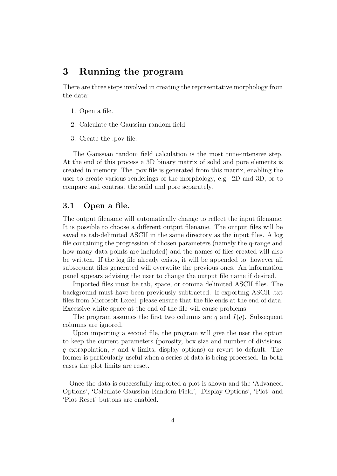# 3 Running the program

There are three steps involved in creating the representative morphology from the data:

- 1. Open a file.
- 2. Calculate the Gaussian random field.
- 3. Create the .pov file.

The Gaussian random field calculation is the most time-intensive step. At the end of this process a 3D binary matrix of solid and pore elements is created in memory. The .pov file is generated from this matrix, enabling the user to create various renderings of the morphology, e.g. 2D and 3D, or to compare and contrast the solid and pore separately.

#### 3.1 Open a file.

The output filename will automatically change to reflect the input filename. It is possible to choose a different output filename. The output files will be saved as tab-delimited ASCII in the same directory as the input files. A log file containing the progression of chosen parameters (namely the q-range and how many data points are included) and the names of files created will also be written. If the log file already exists, it will be appended to; however all subsequent files generated will overwrite the previous ones. An information panel appears advising the user to change the output file name if desired.

Imported files must be tab, space, or comma delimited ASCII files. The background must have been previously subtracted. If exporting ASCII .txt files from Microsoft Excel, please ensure that the file ends at the end of data. Excessive white space at the end of the file will cause problems.

The program assumes the first two columns are q and  $I(q)$ . Subsequent columns are ignored.

Upon importing a second file, the program will give the user the option to keep the current parameters (porosity, box size and number of divisions, q extrapolation, r and k limits, display options) or revert to default. The former is particularly useful when a series of data is being processed. In both cases the plot limits are reset.

Once the data is successfully imported a plot is shown and the 'Advanced Options', 'Calculate Gaussian Random Field', 'Display Options', 'Plot' and 'Plot Reset' buttons are enabled.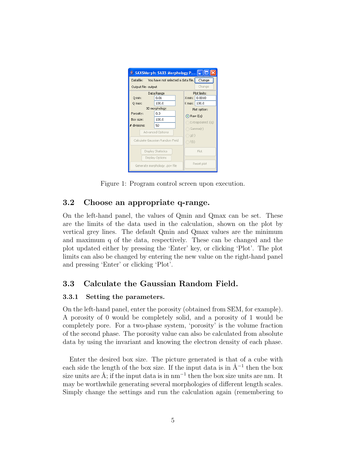

Figure 1: Program control screen upon execution.

### 3.2 Choose an appropriate q-range.

On the left-hand panel, the values of Qmin and Qmax can be set. These are the limits of the data used in the calculation, shown on the plot by vertical grey lines. The default Qmin and Qmax values are the minimum and maximum q of the data, respectively. These can be changed and the plot updated either by pressing the 'Enter' key, or clicking 'Plot'. The plot limits can also be changed by entering the new value on the right-hand panel and pressing 'Enter' or clicking 'Plot'.

### 3.3 Calculate the Gaussian Random Field.

#### 3.3.1 Setting the parameters.

On the left-hand panel, enter the porosity (obtained from SEM, for example). A porosity of 0 would be completely solid, and a porosity of 1 would be completely pore. For a two-phase system, 'porosity' is the volume fraction of the second phase. The porosity value can also be calculated from absolute data by using the invariant and knowing the electron density of each phase.

Enter the desired box size. The picture generated is that of a cube with each side the length of the box size. If the input data is in  $Å^{-1}$  then the box size units are Å; if the input data is in nm<sup>-1</sup> then the box size units are nm. It may be worthwhile generating several morphologies of different length scales. Simply change the settings and run the calculation again (remembering to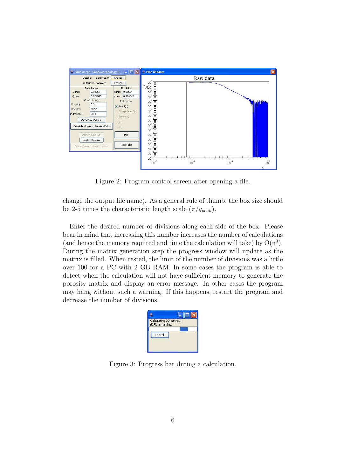

Figure 2: Program control screen after opening a file.

change the output file name). As a general rule of thumb, the box size should be 2-5 times the characteristic length scale  $(\pi/q_{peak})$ .

Enter the desired number of divisions along each side of the box. Please bear in mind that increasing this number increases the number of calculations (and hence the memory required and time the calculation will take) by  $O(n^3)$ . During the matrix generation step the progress window will update as the matrix is filled. When tested, the limit of the number of divisions was a little over 100 for a PC with 2 GB RAM. In some cases the program is able to detect when the calculation will not have sufficient memory to generate the porosity matrix and display an error message. In other cases the program may hang without such a warning. If this happens, restart the program and decrease the number of divisions.



Figure 3: Progress bar during a calculation.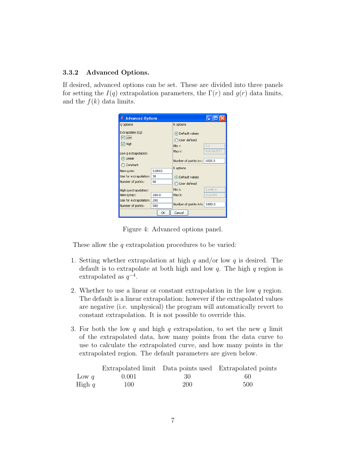#### 3.3.2 Advanced Options.

If desired, advanced options can be set. These are divided into three panels for setting the  $I(q)$  extrapolation parameters, the  $\Gamma(r)$  and  $q(r)$  data limits, and the  $f(k)$  data limits.

| Advanced Options                                          |        |                                                     |            |  |
|-----------------------------------------------------------|--------|-----------------------------------------------------|------------|--|
| Q options                                                 |        | R options                                           |            |  |
| Extrapolate I(q):<br><b>⊽</b> Low<br>$\triangledown$ High |        | O Default values<br>◯ User defined<br>0.1<br>Min r: |            |  |
| Low q extrapolation:                                      |        | Max r:                                              | 414.841573 |  |
| O Linear<br>Constant                                      |        | Number of points in r:                              | 1000.0     |  |
| New q min:                                                | 0.0010 | K options                                           |            |  |
| Use for extrapolation:                                    | 30.    | O Default values                                    |            |  |
| Number of points:                                         | 60     | ◯ User defined                                      |            |  |
| High g extrapolation:                                     |        | Min k:                                              | $6.64E-4$  |  |
| New q max:                                                | 100.0  | Max k:                                              | 9.24345    |  |
| Use for extrapolation:                                    | 200    |                                                     |            |  |
| Number of points:                                         | 500    | Number of points in k:                              | 1000.0     |  |
| Cancel<br>ОК                                              |        |                                                     |            |  |

Figure 4: Advanced options panel.

These allow the  $q$  extrapolation procedures to be varied:

- 1. Setting whether extrapolation at high  $q$  and/or low  $q$  is desired. The default is to extrapolate at both high and low  $q$ . The high  $q$  region is extrapolated as  $q^{-4}$ .
- 2. Whether to use a linear or constant extrapolation in the low  $q$  region. The default is a linear extrapolation; however if the extrapolated values are negative (i.e. unphysical) the program will automatically revert to constant extrapolation. It is not possible to override this.
- 3. For both the low  $q$  and high  $q$  extrapolation, to set the new  $q$  limit of the extrapolated data, how many points from the data curve to use to calculate the extrapolated curve, and how many points in the extrapolated region. The default parameters are given below.

|          |       |     | Extrapolated limit Data points used Extrapolated points |
|----------|-------|-----|---------------------------------------------------------|
| Low q    | 0.001 | -30 | 60                                                      |
| High $q$ | 100   | 200 | 500                                                     |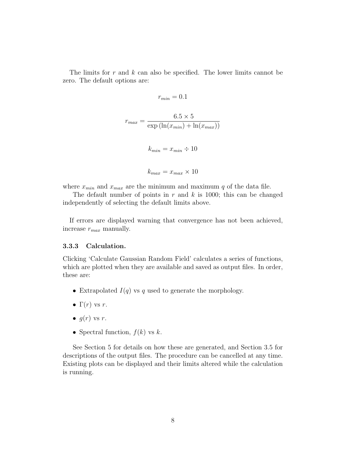The limits for  $r$  and  $k$  can also be specified. The lower limits cannot be zero. The default options are:

$$
r_{min} = 0.1
$$

$$
r_{max} = \frac{6.5 \times 5}{\exp(\ln(x_{min}) + \ln(x_{max}))}
$$

$$
k_{min} = x_{min} \div 10
$$

$$
k_{max} = x_{max} \times 10
$$

where  $x_{min}$  and  $x_{max}$  are the minimum and maximum q of the data file.

The default number of points in  $r$  and  $k$  is 1000; this can be changed independently of selecting the default limits above.

If errors are displayed warning that convergence has not been achieved, increase  $r_{max}$  manually.

#### 3.3.3 Calculation.

Clicking 'Calculate Gaussian Random Field' calculates a series of functions, which are plotted when they are available and saved as output files. In order, these are:

- Extrapolated  $I(q)$  vs q used to generate the morphology.
- $\Gamma(r)$  vs r.
- $q(r)$  vs r.
- Spectral function,  $f(k)$  vs  $k$ .

See Section 5 for details on how these are generated, and Section 3.5 for descriptions of the output files. The procedure can be cancelled at any time. Existing plots can be displayed and their limits altered while the calculation is running.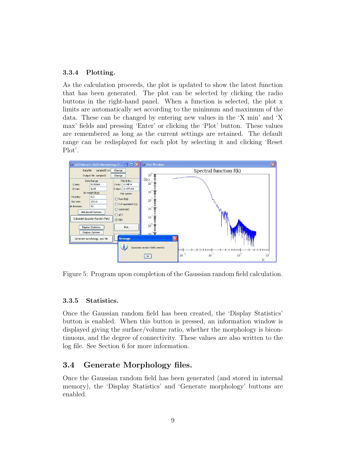#### 3.3.4 Plotting.

As the calculation proceeds, the plot is updated to show the latest function that has been generated. The plot can be selected by clicking the radio buttons in the right-hand panel. When a function is selected, the plot x limits are automatically set according to the minimum and maximum of the data. These can be changed by entering new values in the 'X min' and 'X max' fields and pressing 'Enter' or clicking the 'Plot' button. These values are remembered as long as the current settings are retained. The default range can be redisplayed for each plot by selecting it and clicking 'Reset Plot'.



Figure 5: Program upon completion of the Gaussian random field calculation.

#### 3.3.5 Statistics.

Once the Gaussian random field has been created, the 'Display Statistics' button is enabled. When this button is pressed, an information window is displayed giving the surface/volume ratio, whether the morphology is bicontinuous, and the degree of connectivity. These values are also written to the log file. See Section 6 for more information.

### 3.4 Generate Morphology files.

Once the Gaussian random field has been generated (and stored in internal memory), the 'Display Statistics' and 'Generate morphology' buttons are enabled.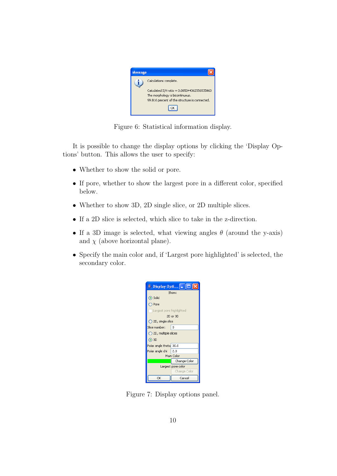

Figure 6: Statistical information display.

It is possible to change the display options by clicking the 'Display Options' button. This allows the user to specify:

- Whether to show the solid or pore.
- If pore, whether to show the largest pore in a different color, specified below.
- Whether to show 3D, 2D single slice, or 2D multiple slices.
- If a 2D slice is selected, which slice to take in the z-direction.
- If a 3D image is selected, what viewing angles  $\theta$  (around the y-axis) and  $\chi$  (above horizontal plane).
- Specify the main color and, if 'Largest pore highlighted' is selected, the secondary color.

|                          | $\rightarrow$ Display Opti $\boxed{\blacksquare}$ $\boxed{\blacksquare}$ $\times$ |  |  |  |
|--------------------------|-----------------------------------------------------------------------------------|--|--|--|
| Show:                    |                                                                                   |  |  |  |
| ⊙ Solid                  |                                                                                   |  |  |  |
| <b>Pore</b>              |                                                                                   |  |  |  |
| Largest pore highlighted |                                                                                   |  |  |  |
| 2D or 3D                 |                                                                                   |  |  |  |
| ◯ 2D, single slice       |                                                                                   |  |  |  |
| Slice number:            | Ω                                                                                 |  |  |  |
| ◯ 2D, multiple slices    |                                                                                   |  |  |  |
| $\odot$ 3D               |                                                                                   |  |  |  |
| Polar angle theta 30.0   |                                                                                   |  |  |  |
| Polar angle chi          | 2.0                                                                               |  |  |  |
| Main Color               |                                                                                   |  |  |  |
|                          | Change Color                                                                      |  |  |  |
| Largest pore color       |                                                                                   |  |  |  |
|                          | Change Color                                                                      |  |  |  |
| OK                       | Cancel                                                                            |  |  |  |

Figure 7: Display options panel.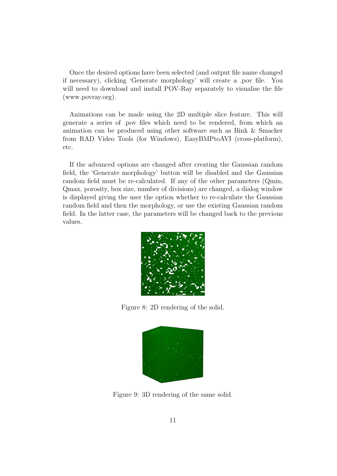Once the desired options have been selected (and output file name changed if necessary), clicking 'Generate morphology' will create a .pov file. You will need to download and install POV-Ray separately to visualise the file (www.povray.org).

Animations can be made using the 2D multiple slice feature. This will generate a series of .pov files which need to be rendered, from which an animation can be produced using other software such as Bink & Smacker from RAD Video Tools (for Windows), EasyBMPtoAVI (cross-platform), etc.

If the advanced options are changed after creating the Gaussian random field, the 'Generate morphology' button will be disabled and the Gaussian random field must be re-calculated. If any of the other parameters (Qmin, Qmax, porosity, box size, number of divisions) are changed, a dialog window is displayed giving the user the option whether to re-calculate the Gaussian random field and then the morphology, or use the existing Gaussian random field. In the latter case, the parameters will be changed back to the previous values.



Figure 8: 2D rendering of the solid.



Figure 9: 3D rendering of the same solid.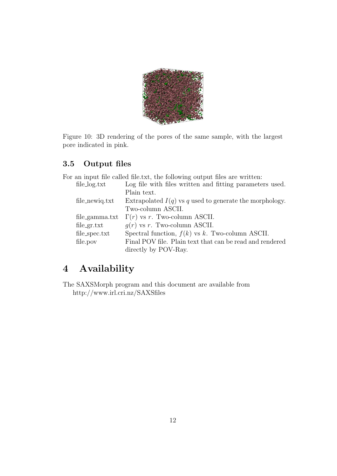

Figure 10: 3D rendering of the pores of the same sample, with the largest pore indicated in pink.

## 3.5 Output files

|                   | For an input file called file.txt, the following output files are written: |
|-------------------|----------------------------------------------------------------------------|
| file_log.txt      | Log file with files written and fitting parameters used.                   |
|                   | Plain text.                                                                |
| file_newig.txt    | Extrapolated $I(q)$ vs q used to generate the morphology.                  |
|                   | Two-column ASCII.                                                          |
| $file\_gamma.txt$ | $\Gamma(r)$ vs r. Two-column ASCII.                                        |
| file.gr.txt       | $q(r)$ vs r. Two-column ASCII.                                             |
| file_spec.txt     | Spectral function, $f(k)$ vs k. Two-column ASCII.                          |
| file.pov          | Final POV file. Plain text that can be read and rendered                   |
|                   | directly by POV-Ray.                                                       |

# 4 Availability

The SAXSMorph program and this document are available from http://www.irl.cri.nz/SAXSfiles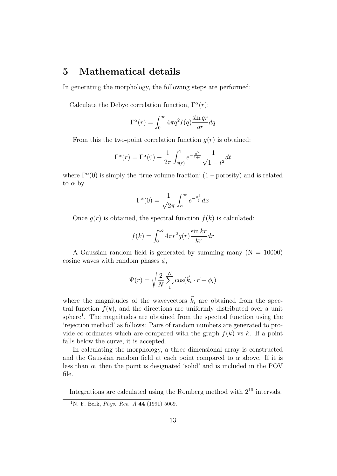# 5 Mathematical details

In generating the morphology, the following steps are performed:

Calculate the Debye correlation function,  $\Gamma^{\alpha}(r)$ :

$$
\Gamma^{\alpha}(r) = \int_0^{\infty} 4\pi q^2 I(q) \frac{\sin qr}{qr} dq
$$

From this the two-point correlation function  $q(r)$  is obtained:

$$
\Gamma^{\alpha}(r) = \Gamma^{\alpha}(0) - \frac{1}{2\pi} \int_{g(r)}^{1} e^{-\frac{\alpha^2}{1+t}} \frac{1}{\sqrt{1-t^2}} dt
$$

where  $\Gamma^{\alpha}(0)$  is simply the 'true volume fraction'  $(1 - \text{porosity})$  and is related to  $\alpha$  by

$$
\Gamma^{\alpha}(0) = \frac{1}{\sqrt{2\pi}} \int_{\alpha}^{\infty} e^{-\frac{x^2}{2}} dx
$$

Once  $g(r)$  is obtained, the spectral function  $f(k)$  is calculated:

$$
f(k) = \int_0^\infty 4\pi r^2 g(r) \frac{\sin kr}{kr} dr
$$

A Gaussian random field is generated by summing many  $(N = 10000)$ cosine waves with random phases  $\phi_i$ 

$$
\Psi(r) = \sqrt{\frac{2}{N}} \sum_{1}^{N} \cos(\vec{k}_i \cdot \vec{r} + \phi_i)
$$

where the magnitudes of the wavevectors  $\vec{k}_i$  are obtained from the spectral function  $f(k)$ , and the directions are uniformly distributed over a unit sphere<sup>1</sup>. The magnitudes are obtained from the spectral function using the 'rejection method' as follows: Pairs of random numbers are generated to provide co-ordinates which are compared with the graph  $f(k)$  vs k. If a point falls below the curve, it is accepted.

In calculating the morphology, a three-dimensional array is constructed and the Gaussian random field at each point compared to  $\alpha$  above. If it is less than  $\alpha$ , then the point is designated 'solid' and is included in the POV file.

Integrations are calculated using the Romberg method with 2<sup>10</sup> intervals.

<sup>&</sup>lt;sup>1</sup>N. F. Berk, *Phys. Rev. A* 44 (1991) 5069.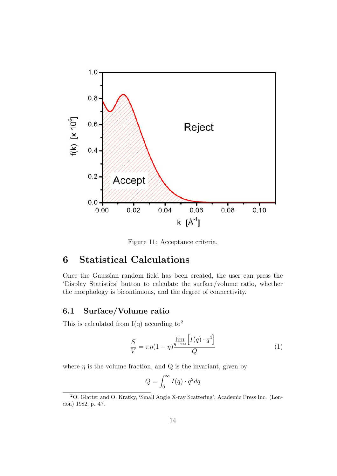

Figure 11: Acceptance criteria.

# 6 Statistical Calculations

Once the Gaussian random field has been created, the user can press the 'Display Statistics' button to calculate the surface/volume ratio, whether the morphology is bicontinuous, and the degree of connectivity.

### 6.1 Surface/Volume ratio

This is calculated from  $I(q)$  according to<sup>2</sup>

$$
\frac{S}{V} = \pi \eta (1 - \eta) \frac{\lim_{q \to \infty} \left[ I(q) \cdot q^4 \right]}{Q} \tag{1}
$$

where  $\eta$  is the volume fraction, and Q is the invariant, given by

$$
Q = \int_0^\infty I(q) \cdot q^2 dq
$$

<sup>2</sup>O. Glatter and O. Kratky, 'Small Angle X-ray Scattering', Academic Press Inc. (London) 1982, p. 47.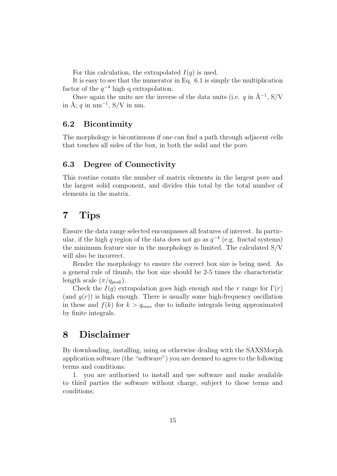For this calculation, the extrapolated  $I(q)$  is used.

It is easy to see that the numerator in Eq. 6.1 is simply the multiplication factor of the  $q^{-4}$  high q extrapolation.

Once again the units are the inverse of the data units (i.e. q in  $\AA^{-1}$ , S/V in Å; q in  $nm^{-1}$ , S/V in nm.

### 6.2 Bicontinuity

The morphology is bicontinuous if one can find a path through adjacent cells that touches all sides of the box, in both the solid and the pore.

### 6.3 Degree of Connectivity

This routine counts the number of matrix elements in the largest pore and the largest solid component, and divides this total by the total number of elements in the matrix.

## 7 Tips

Ensure the data range selected encompasses all features of interest. In particular, if the high q region of the data does not go as  $q^{-4}$  (e.g. fractal systems) the minimum feature size in the morphology is limited. The calculated S/V will also be incorrect.

Render the morphology to ensure the correct box size is being used. As a general rule of thumb, the box size should be 2-5 times the characteristic length scale  $(\pi/q_{peak})$ .

Check the  $I(q)$  extrapolation goes high enough and the r range for  $\Gamma(r)$ (and  $g(r)$ ) is high enough. There is usually some high-frequency oscillation in these and  $f(k)$  for  $k > q_{max}$  due to infinite integrals being approximated by finite integrals.

# 8 Disclaimer

By downloading, installing, using or otherwise dealing with the SAXSMorph application software (the "software") you are deemed to agree to the following terms and conditions:

1. you are authorised to install and use software and make available to third parties the software without charge, subject to these terms and conditions;